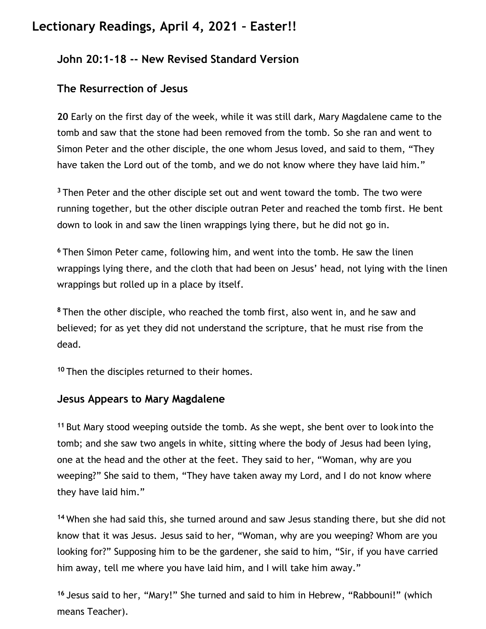## **Lectionary Readings, April 4, 2021 – Easter!!**

## **John 20:1-18 -- New Revised Standard Version**

## **The Resurrection of Jesus**

**20** Early on the first day of the week, while it was still dark, Mary Magdalene came to the tomb and saw that the stone had been removed from the tomb. So she ran and went to Simon Peter and the other disciple, the one whom Jesus loved, and said to them, "They have taken the Lord out of the tomb, and we do not know where they have laid him."

**<sup>3</sup>** Then Peter and the other disciple set out and went toward the tomb. The two were running together, but the other disciple outran Peter and reached the tomb first. He bent down to look in and saw the linen wrappings lying there, but he did not go in.

**<sup>6</sup>** Then Simon Peter came, following him, and went into the tomb. He saw the linen wrappings lying there, and the cloth that had been on Jesus' head, not lying with the linen wrappings but rolled up in a place by itself.

**<sup>8</sup>** Then the other disciple, who reached the tomb first, also went in, and he saw and believed; for as yet they did not understand the scripture, that he must rise from the dead.

**<sup>10</sup>**Then the disciples returned to their homes.

## **Jesus Appears to Mary Magdalene**

**<sup>11</sup>** But Mary stood weeping outside the tomb. As she wept, she bent over to look into the tomb; and she saw two angels in white, sitting where the body of Jesus had been lying, one at the head and the other at the feet. They said to her, "Woman, why are you weeping?" She said to them, "They have taken away my Lord, and I do not know where they have laid him."

**<sup>14</sup>** When she had said this, she turned around and saw Jesus standing there, but she did not know that it was Jesus. Jesus said to her, "Woman, why are you weeping? Whom are you looking for?" Supposing him to be the gardener, she said to him, "Sir, if you have carried him away, tell me where you have laid him, and I will take him away."

**<sup>16</sup>** Jesus said to her, "Mary!" She turned and said to him in Hebrew, "Rabbouni!" (which means Teacher).